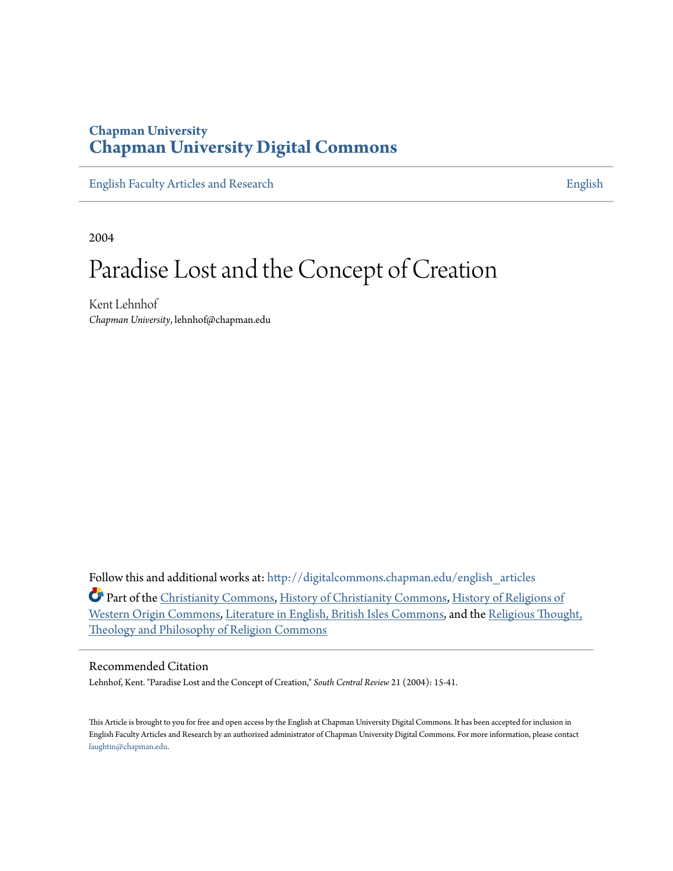### **Chapman University [Chapman University Digital Commons](http://digitalcommons.chapman.edu?utm_source=digitalcommons.chapman.edu%2Fenglish_articles%2F3&utm_medium=PDF&utm_campaign=PDFCoverPages)**

[English Faculty Articles and Research](http://digitalcommons.chapman.edu/english_articles?utm_source=digitalcommons.chapman.edu%2Fenglish_articles%2F3&utm_medium=PDF&utm_campaign=PDFCoverPages) **[English](http://digitalcommons.chapman.edu/english?utm_source=digitalcommons.chapman.edu%2Fenglish_articles%2F3&utm_medium=PDF&utm_campaign=PDFCoverPages)** 

2004

# Paradise Lost and the Concept of Creation

Kent Lehnhof *Chapman University*, lehnhof@chapman.edu

Follow this and additional works at: [http://digitalcommons.chapman.edu/english\\_articles](http://digitalcommons.chapman.edu/english_articles?utm_source=digitalcommons.chapman.edu%2Fenglish_articles%2F3&utm_medium=PDF&utm_campaign=PDFCoverPages)

Part of the [Christianity Commons,](http://network.bepress.com/hgg/discipline/1181?utm_source=digitalcommons.chapman.edu%2Fenglish_articles%2F3&utm_medium=PDF&utm_campaign=PDFCoverPages) [History of Christianity Commons,](http://network.bepress.com/hgg/discipline/1182?utm_source=digitalcommons.chapman.edu%2Fenglish_articles%2F3&utm_medium=PDF&utm_campaign=PDFCoverPages) [History of Religions of](http://network.bepress.com/hgg/discipline/542?utm_source=digitalcommons.chapman.edu%2Fenglish_articles%2F3&utm_medium=PDF&utm_campaign=PDFCoverPages) [Western Origin Commons](http://network.bepress.com/hgg/discipline/542?utm_source=digitalcommons.chapman.edu%2Fenglish_articles%2F3&utm_medium=PDF&utm_campaign=PDFCoverPages), [Literature in English, British Isles Commons,](http://network.bepress.com/hgg/discipline/456?utm_source=digitalcommons.chapman.edu%2Fenglish_articles%2F3&utm_medium=PDF&utm_campaign=PDFCoverPages) and the [Religious Thought,](http://network.bepress.com/hgg/discipline/544?utm_source=digitalcommons.chapman.edu%2Fenglish_articles%2F3&utm_medium=PDF&utm_campaign=PDFCoverPages) [Theology and Philosophy of Religion Commons](http://network.bepress.com/hgg/discipline/544?utm_source=digitalcommons.chapman.edu%2Fenglish_articles%2F3&utm_medium=PDF&utm_campaign=PDFCoverPages)

#### Recommended Citation

Lehnhof, Kent. "Paradise Lost and the Concept of Creation," *South Central Review* 21 (2004): 15-41.

This Article is brought to you for free and open access by the English at Chapman University Digital Commons. It has been accepted for inclusion in English Faculty Articles and Research by an authorized administrator of Chapman University Digital Commons. For more information, please contact [laughtin@chapman.edu](mailto:laughtin@chapman.edu).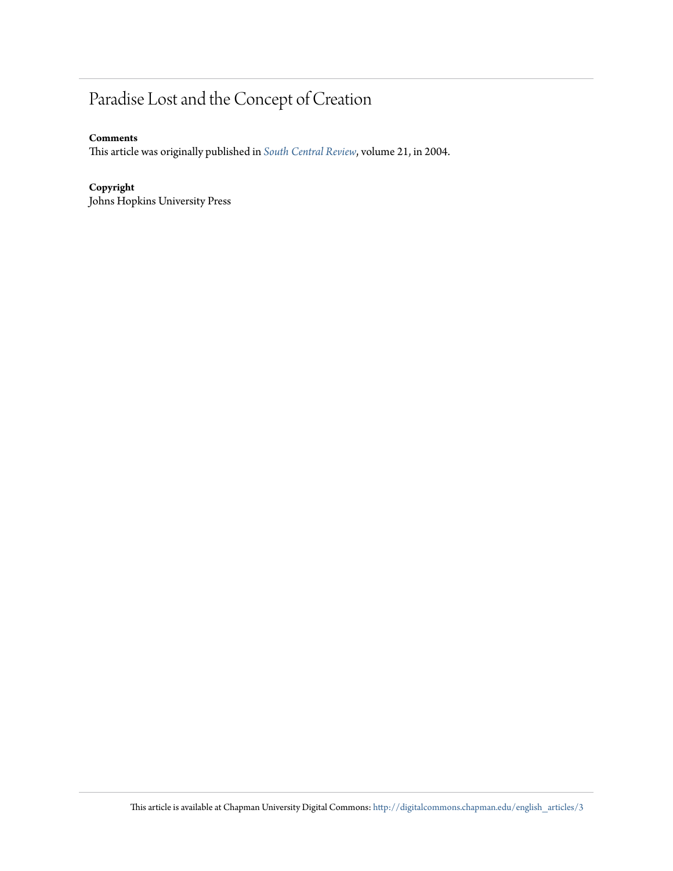# Paradise Lost and the Concept of Creation

#### **Comments**

This article was originally published in *[South Central Review](https://www.press.jhu.edu/journals/south_central_review/)*, volume 21, in 2004.

#### **Copyright**

Johns Hopkins University Press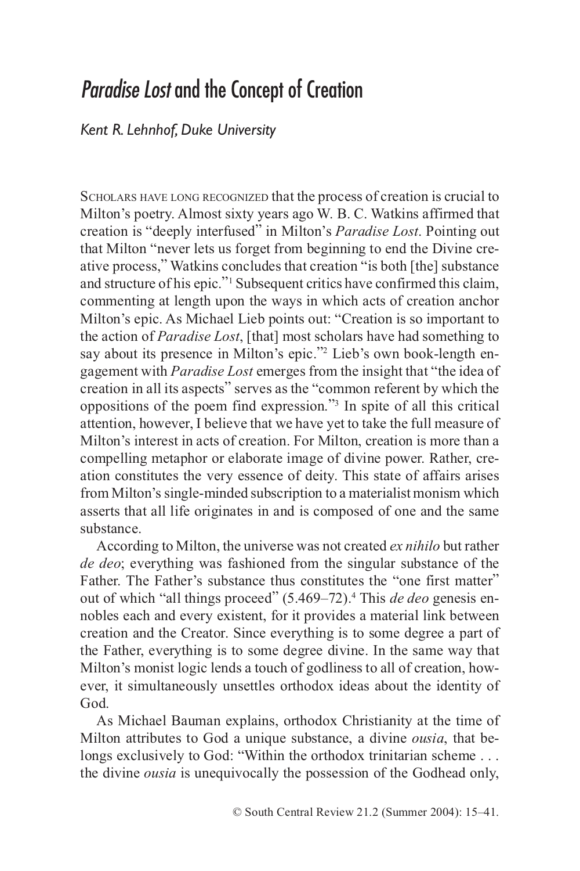## Paradise Lost and the Concept of Creation

*Kent R. Lehnhof, Duke University*

SCHOLARS HAVE LONG RECOGNIZED that the process of creation is crucial to Milton's poetry. Almost sixty years ago W. B. C. Watkins affirmed that creation is "deeply interfused" in Milton's *Paradise Lost*. Pointing out that Milton "never lets us forget from beginning to end the Divine creative process," Watkins concludes that creation "is both [the] substance and structure of his epic."1 Subsequent critics have confirmed this claim, commenting at length upon the ways in which acts of creation anchor Milton's epic. As Michael Lieb points out: "Creation is so important to the action of *Paradise Lost*, [that] most scholars have had something to say about its presence in Milton's epic."<sup>2</sup> Lieb's own book-length engagement with *Paradise Lost* emerges from the insight that "the idea of creation in all its aspects" serves as the "common referent by which the oppositions of the poem find expression."3 In spite of all this critical attention, however, I believe that we have yet to take the full measure of Milton's interest in acts of creation. For Milton, creation is more than a compelling metaphor or elaborate image of divine power. Rather, creation constitutes the very essence of deity. This state of affairs arises from Milton's single-minded subscription to a materialist monism which asserts that all life originates in and is composed of one and the same substance.

According to Milton, the universe was not created *ex nihilo* but rather *de deo*; everything was fashioned from the singular substance of the Father. The Father's substance thus constitutes the "one first matter" out of which "all things proceed" (5.469–72).4 This *de deo* genesis ennobles each and every existent, for it provides a material link between creation and the Creator. Since everything is to some degree a part of the Father, everything is to some degree divine. In the same way that Milton's monist logic lends a touch of godliness to all of creation, however, it simultaneously unsettles orthodox ideas about the identity of God.

As Michael Bauman explains, orthodox Christianity at the time of Milton attributes to God a unique substance, a divine *ousia*, that belongs exclusively to God: "Within the orthodox trinitarian scheme . . . the divine *ousia* is unequivocally the possession of the Godhead only,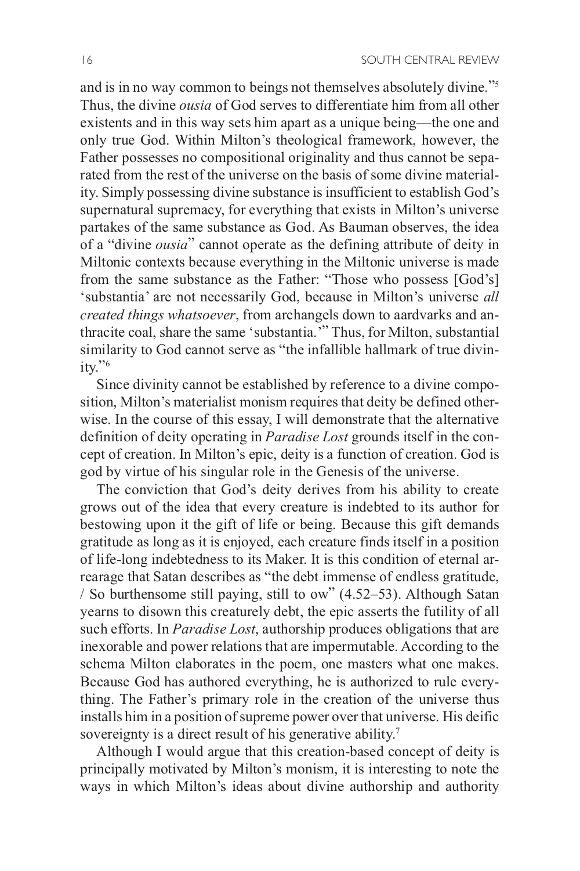and is in no way common to beings not themselves absolutely divine."5 Thus, the divine *ousia* of God serves to differentiate him from all other existents and in this way sets him apart as a unique being—the one and only true God. Within Milton's theological framework, however, the Father possesses no compositional originality and thus cannot be separated from the rest of the universe on the basis of some divine materiality. Simply possessing divine substance is insufficient to establish God's supernatural supremacy, for everything that exists in Milton's universe partakes of the same substance as God. As Bauman observes, the idea of a "divine *ousia*" cannot operate as the defining attribute of deity in Miltonic contexts because everything in the Miltonic universe is made from the same substance as the Father: "Those who possess [God's] 'substantia' are not necessarily God, because in Milton's universe *all created things whatsoever*, from archangels down to aardvarks and anthracite coal, share the same 'substantia.'" Thus, for Milton, substantial similarity to God cannot serve as "the infallible hallmark of true divinity."6

Since divinity cannot be established by reference to a divine composition, Milton's materialist monism requires that deity be defined otherwise. In the course of this essay, I will demonstrate that the alternative definition of deity operating in *Paradise Lost* grounds itself in the concept of creation. In Milton's epic, deity is a function of creation. God is god by virtue of his singular role in the Genesis of the universe.

The conviction that God's deity derives from his ability to create grows out of the idea that every creature is indebted to its author for bestowing upon it the gift of life or being. Because this gift demands gratitude as long as it is enjoyed, each creature finds itself in a position of life-long indebtedness to its Maker. It is this condition of eternal arrearage that Satan describes as "the debt immense of endless gratitude, / So burthensome still paying, still to ow" (4.52–53). Although Satan yearns to disown this creaturely debt, the epic asserts the futility of all such efforts. In *Paradise Lost*, authorship produces obligations that are inexorable and power relations that are impermutable. According to the schema Milton elaborates in the poem, one masters what one makes. Because God has authored everything, he is authorized to rule everything. The Father's primary role in the creation of the universe thus installs him in a position of supreme power over that universe. His deific sovereignty is a direct result of his generative ability.<sup>7</sup>

Although I would argue that this creation-based concept of deity is principally motivated by Milton's monism, it is interesting to note the ways in which Milton's ideas about divine authorship and authority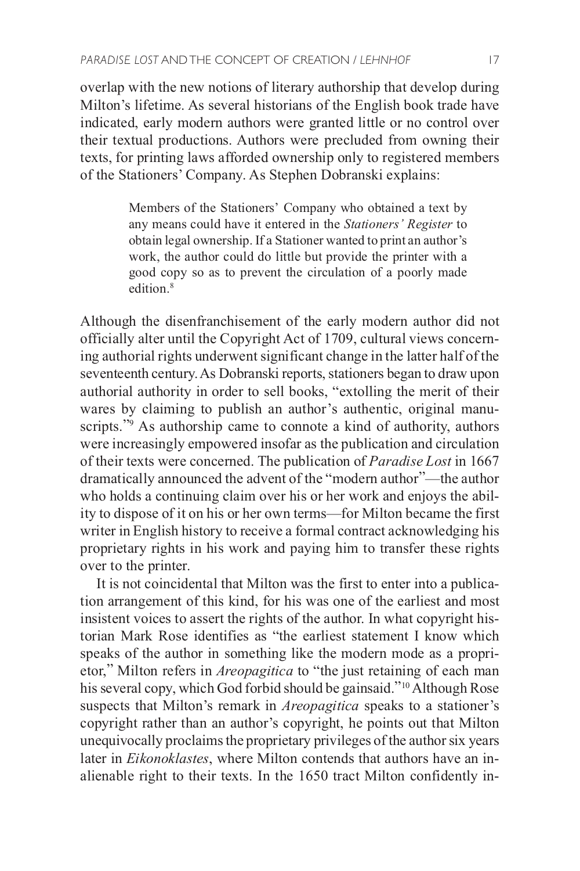overlap with the new notions of literary authorship that develop during Milton's lifetime. As several historians of the English book trade have indicated, early modern authors were granted little or no control over their textual productions. Authors were precluded from owning their texts, for printing laws afforded ownership only to registered members of the Stationers' Company. As Stephen Dobranski explains:

> Members of the Stationers' Company who obtained a text by any means could have it entered in the *Stationers' Register* to obtain legal ownership. If a Stationer wanted to print an author's work, the author could do little but provide the printer with a good copy so as to prevent the circulation of a poorly made edition.<sup>8</sup>

Although the disenfranchisement of the early modern author did not officially alter until the Copyright Act of 1709, cultural views concerning authorial rights underwent significant change in the latter half of the seventeenth century. As Dobranski reports, stationers began to draw upon authorial authority in order to sell books, "extolling the merit of their wares by claiming to publish an author's authentic, original manuscripts."<sup>9</sup> As authorship came to connote a kind of authority, authors were increasingly empowered insofar as the publication and circulation of their texts were concerned. The publication of *Paradise Lost* in 1667 dramatically announced the advent of the "modern author"—the author who holds a continuing claim over his or her work and enjoys the ability to dispose of it on his or her own terms—for Milton became the first writer in English history to receive a formal contract acknowledging his proprietary rights in his work and paying him to transfer these rights over to the printer.

It is not coincidental that Milton was the first to enter into a publication arrangement of this kind, for his was one of the earliest and most insistent voices to assert the rights of the author. In what copyright historian Mark Rose identifies as "the earliest statement I know which speaks of the author in something like the modern mode as a proprietor," Milton refers in *Areopagitica* to "the just retaining of each man his several copy, which God forbid should be gainsaid."<sup>10</sup> Although Rose suspects that Milton's remark in *Areopagitica* speaks to a stationer's copyright rather than an author's copyright, he points out that Milton unequivocally proclaims the proprietary privileges of the author six years later in *Eikonoklastes*, where Milton contends that authors have an inalienable right to their texts. In the 1650 tract Milton confidently in-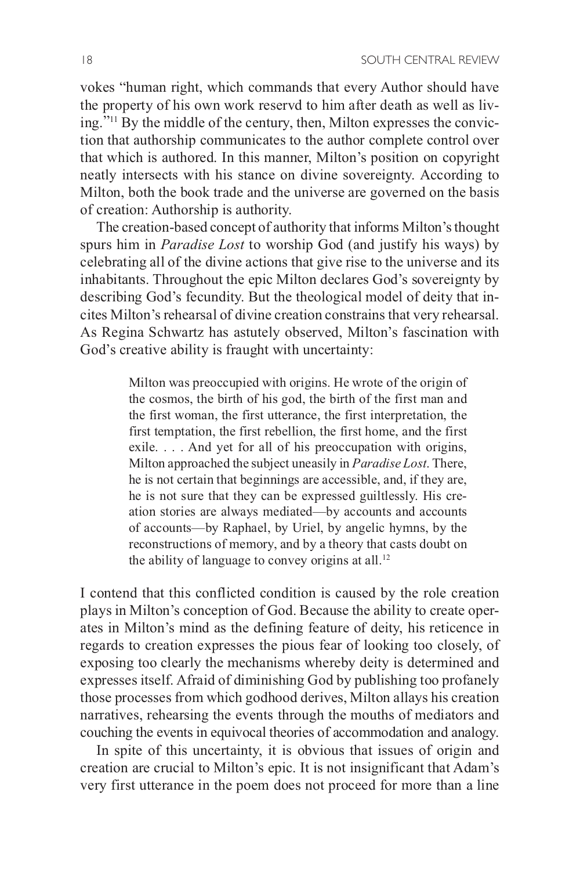vokes "human right, which commands that every Author should have the property of his own work reservd to him after death as well as living."11 By the middle of the century, then, Milton expresses the conviction that authorship communicates to the author complete control over that which is authored. In this manner, Milton's position on copyright neatly intersects with his stance on divine sovereignty. According to Milton, both the book trade and the universe are governed on the basis of creation: Authorship is authority.

The creation-based concept of authority that informs Milton's thought spurs him in *Paradise Lost* to worship God (and justify his ways) by celebrating all of the divine actions that give rise to the universe and its inhabitants. Throughout the epic Milton declares God's sovereignty by describing God's fecundity. But the theological model of deity that incites Milton's rehearsal of divine creation constrains that very rehearsal. As Regina Schwartz has astutely observed, Milton's fascination with God's creative ability is fraught with uncertainty:

> Milton was preoccupied with origins. He wrote of the origin of the cosmos, the birth of his god, the birth of the first man and the first woman, the first utterance, the first interpretation, the first temptation, the first rebellion, the first home, and the first exile. . . . And yet for all of his preoccupation with origins, Milton approached the subject uneasily in *Paradise Lost*. There, he is not certain that beginnings are accessible, and, if they are, he is not sure that they can be expressed guiltlessly. His creation stories are always mediated—by accounts and accounts of accounts—by Raphael, by Uriel, by angelic hymns, by the reconstructions of memory, and by a theory that casts doubt on the ability of language to convey origins at all.<sup>12</sup>

I contend that this conflicted condition is caused by the role creation plays in Milton's conception of God. Because the ability to create operates in Milton's mind as the defining feature of deity, his reticence in regards to creation expresses the pious fear of looking too closely, of exposing too clearly the mechanisms whereby deity is determined and expresses itself. Afraid of diminishing God by publishing too profanely those processes from which godhood derives, Milton allays his creation narratives, rehearsing the events through the mouths of mediators and couching the events in equivocal theories of accommodation and analogy.

In spite of this uncertainty, it is obvious that issues of origin and creation are crucial to Milton's epic. It is not insignificant that Adam's very first utterance in the poem does not proceed for more than a line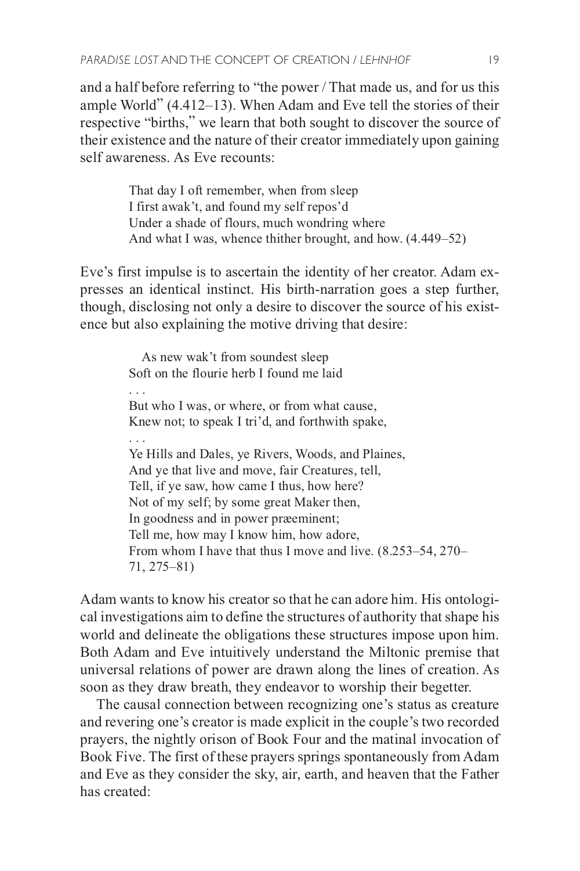and a half before referring to "the power / That made us, and for us this ample World" (4.412–13). When Adam and Eve tell the stories of their respective "births," we learn that both sought to discover the source of their existence and the nature of their creator immediately upon gaining self awareness. As Eve recounts:

> That day I oft remember, when from sleep I first awak't, and found my self repos'd Under a shade of flours, much wondring where And what I was, whence thither brought, and how. (4.449–52)

Eve's first impulse is to ascertain the identity of her creator. Adam expresses an identical instinct. His birth-narration goes a step further, though, disclosing not only a desire to discover the source of his existence but also explaining the motive driving that desire:

> As new wak't from soundest sleep Soft on the flourie herb I found me laid . . . But who I was, or where, or from what cause, Knew not; to speak I tri'd, and forthwith spake, . . . Ye Hills and Dales, ye Rivers, Woods, and Plaines, And ye that live and move, fair Creatures, tell, Tell, if ye saw, how came I thus, how here? Not of my self; by some great Maker then, In goodness and in power præeminent; Tell me, how may I know him, how adore, From whom I have that thus I move and live. (8.253–54, 270– 71, 275–81)

Adam wants to know his creator so that he can adore him. His ontological investigations aim to define the structures of authority that shape his world and delineate the obligations these structures impose upon him. Both Adam and Eve intuitively understand the Miltonic premise that universal relations of power are drawn along the lines of creation. As soon as they draw breath, they endeavor to worship their begetter.

The causal connection between recognizing one's status as creature and revering one's creator is made explicit in the couple's two recorded prayers, the nightly orison of Book Four and the matinal invocation of Book Five. The first of these prayers springs spontaneously from Adam and Eve as they consider the sky, air, earth, and heaven that the Father has created: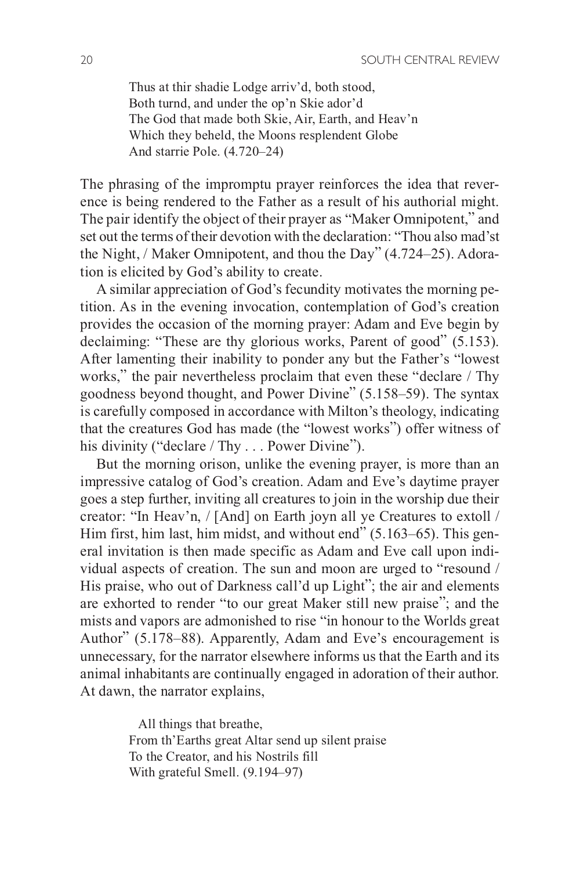Thus at thir shadie Lodge arriv'd, both stood, Both turnd, and under the op'n Skie ador'd The God that made both Skie, Air, Earth, and Heav'n Which they beheld, the Moons resplendent Globe And starrie Pole. (4.720–24)

The phrasing of the impromptu prayer reinforces the idea that reverence is being rendered to the Father as a result of his authorial might. The pair identify the object of their prayer as "Maker Omnipotent," and set out the terms of their devotion with the declaration: "Thou also mad'st the Night, / Maker Omnipotent, and thou the Day" (4.724–25). Adoration is elicited by God's ability to create.

A similar appreciation of God's fecundity motivates the morning petition. As in the evening invocation, contemplation of God's creation provides the occasion of the morning prayer: Adam and Eve begin by declaiming: "These are thy glorious works, Parent of good" (5.153). After lamenting their inability to ponder any but the Father's "lowest works," the pair nevertheless proclaim that even these "declare / Thy goodness beyond thought, and Power Divine" (5.158–59). The syntax is carefully composed in accordance with Milton's theology, indicating that the creatures God has made (the "lowest works") offer witness of his divinity ("declare / Thy . . . Power Divine").

But the morning orison, unlike the evening prayer, is more than an impressive catalog of God's creation. Adam and Eve's daytime prayer goes a step further, inviting all creatures to join in the worship due their creator: "In Heav'n, / [And] on Earth joyn all ye Creatures to extoll / Him first, him last, him midst, and without end" (5.163–65). This general invitation is then made specific as Adam and Eve call upon individual aspects of creation. The sun and moon are urged to "resound / His praise, who out of Darkness call'd up Light"; the air and elements are exhorted to render "to our great Maker still new praise"; and the mists and vapors are admonished to rise "in honour to the Worlds great Author" (5.178–88). Apparently, Adam and Eve's encouragement is unnecessary, for the narrator elsewhere informs us that the Earth and its animal inhabitants are continually engaged in adoration of their author. At dawn, the narrator explains,

> All things that breathe, From th'Earths great Altar send up silent praise To the Creator, and his Nostrils fill With grateful Smell. (9.194–97)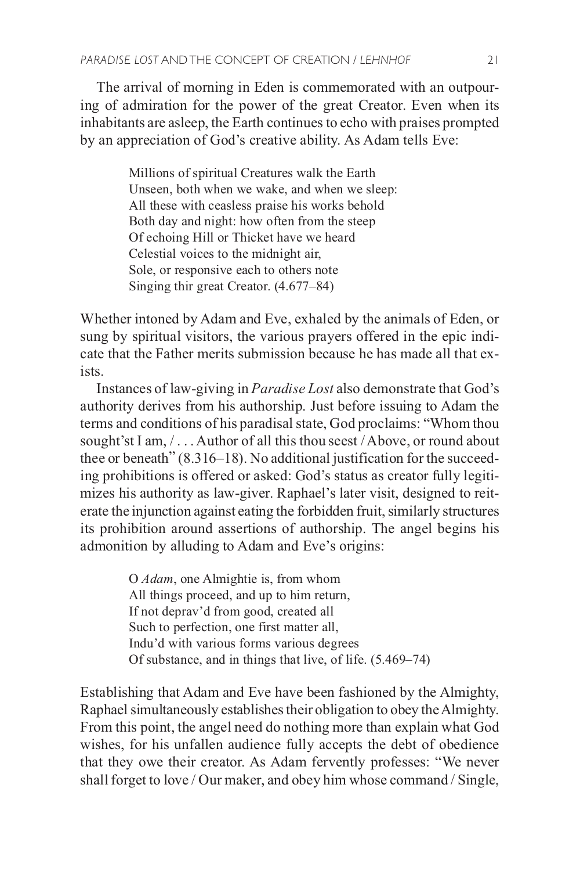The arrival of morning in Eden is commemorated with an outpouring of admiration for the power of the great Creator. Even when its inhabitants are asleep, the Earth continues to echo with praises prompted by an appreciation of God's creative ability. As Adam tells Eve:

> Millions of spiritual Creatures walk the Earth Unseen, both when we wake, and when we sleep: All these with ceasless praise his works behold Both day and night: how often from the steep Of echoing Hill or Thicket have we heard Celestial voices to the midnight air, Sole, or responsive each to others note Singing thir great Creator. (4.677–84)

Whether intoned by Adam and Eve, exhaled by the animals of Eden, or sung by spiritual visitors, the various prayers offered in the epic indicate that the Father merits submission because he has made all that exists.

Instances of law-giving in *Paradise Lost* also demonstrate that God's authority derives from his authorship. Just before issuing to Adam the terms and conditions of his paradisal state, God proclaims: "Whom thou sought'st I am,  $/ \dots$  Author of all this thou seest / Above, or round about thee or beneath" (8.316–18). No additional justification for the succeeding prohibitions is offered or asked: God's status as creator fully legitimizes his authority as law-giver. Raphael's later visit, designed to reiterate the injunction against eating the forbidden fruit, similarly structures its prohibition around assertions of authorship. The angel begins his admonition by alluding to Adam and Eve's origins:

> O *Adam*, one Almightie is, from whom All things proceed, and up to him return, If not deprav'd from good, created all Such to perfection, one first matter all, Indu'd with various forms various degrees Of substance, and in things that live, of life. (5.469–74)

Establishing that Adam and Eve have been fashioned by the Almighty, Raphael simultaneously establishes their obligation to obey the Almighty. From this point, the angel need do nothing more than explain what God wishes, for his unfallen audience fully accepts the debt of obedience that they owe their creator. As Adam fervently professes: "We never shall forget to love / Our maker, and obey him whose command / Single,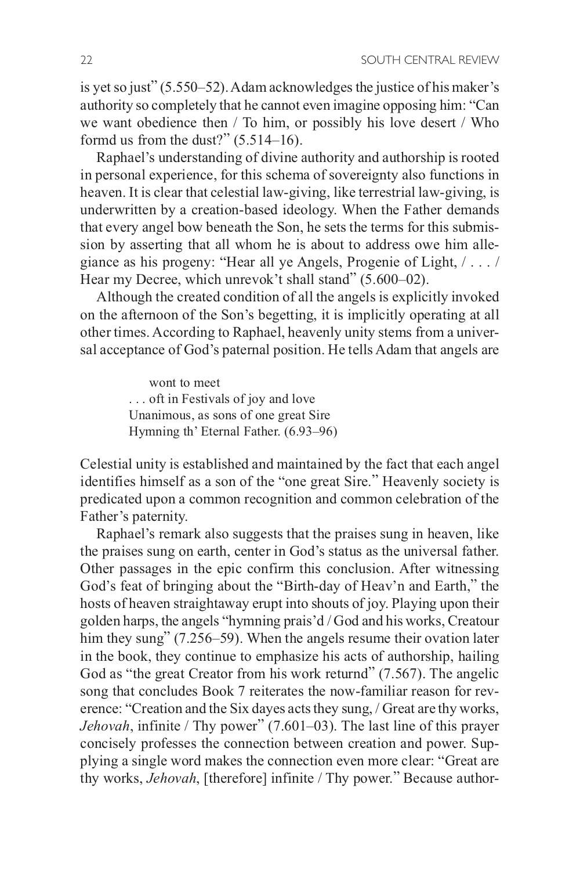is yet so just" (5.550–52). Adam acknowledges the justice of his maker's authority so completely that he cannot even imagine opposing him: "Can we want obedience then / To him, or possibly his love desert / Who formd us from the dust?"  $(5.514-16)$ .

Raphael's understanding of divine authority and authorship is rooted in personal experience, for this schema of sovereignty also functions in heaven. It is clear that celestial law-giving, like terrestrial law-giving, is underwritten by a creation-based ideology. When the Father demands that every angel bow beneath the Son, he sets the terms for this submission by asserting that all whom he is about to address owe him allegiance as his progeny: "Hear all ye Angels, Progenie of Light, / . . . / Hear my Decree, which unrevok't shall stand" (5.600–02).

Although the created condition of all the angels is explicitly invoked on the afternoon of the Son's begetting, it is implicitly operating at all other times. According to Raphael, heavenly unity stems from a universal acceptance of God's paternal position. He tells Adam that angels are

> wont to meet . . . oft in Festivals of joy and love Unanimous, as sons of one great Sire Hymning th' Eternal Father. (6.93–96)

Celestial unity is established and maintained by the fact that each angel identifies himself as a son of the "one great Sire." Heavenly society is predicated upon a common recognition and common celebration of the Father's paternity.

Raphael's remark also suggests that the praises sung in heaven, like the praises sung on earth, center in God's status as the universal father. Other passages in the epic confirm this conclusion. After witnessing God's feat of bringing about the "Birth-day of Heav'n and Earth," the hosts of heaven straightaway erupt into shouts of joy. Playing upon their golden harps, the angels "hymning prais'd / God and his works, Creatour him they sung" (7.256–59). When the angels resume their ovation later in the book, they continue to emphasize his acts of authorship, hailing God as "the great Creator from his work returnd" (7.567). The angelic song that concludes Book 7 reiterates the now-familiar reason for reverence: "Creation and the Six dayes acts they sung, / Great are thy works, *Jehovah*, infinite / Thy power" (7.601–03). The last line of this prayer concisely professes the connection between creation and power. Supplying a single word makes the connection even more clear: "Great are thy works, *Jehovah*, [therefore] infinite / Thy power." Because author-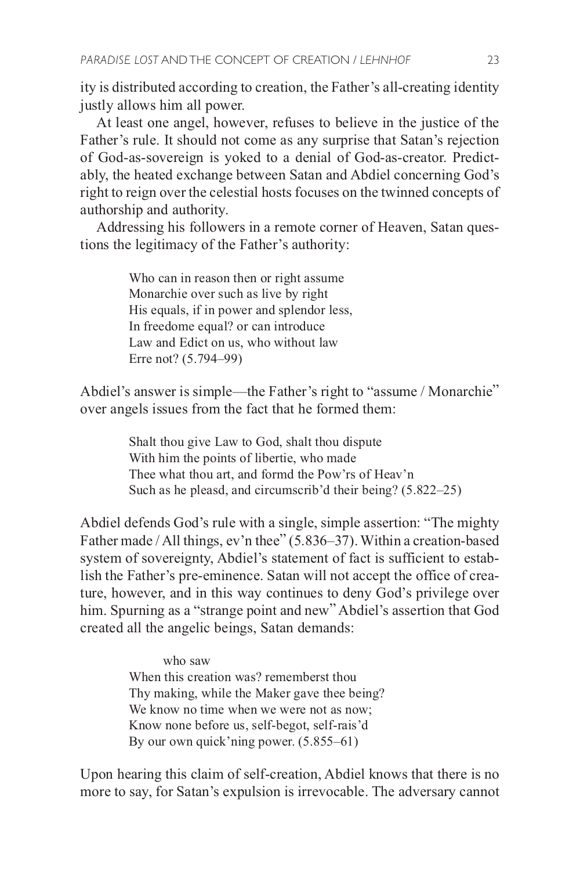ity is distributed according to creation, the Father's all-creating identity justly allows him all power.

At least one angel, however, refuses to believe in the justice of the Father's rule. It should not come as any surprise that Satan's rejection of God-as-sovereign is yoked to a denial of God-as-creator. Predictably, the heated exchange between Satan and Abdiel concerning God's right to reign over the celestial hosts focuses on the twinned concepts of authorship and authority.

Addressing his followers in a remote corner of Heaven, Satan questions the legitimacy of the Father's authority:

> Who can in reason then or right assume Monarchie over such as live by right His equals, if in power and splendor less, In freedome equal? or can introduce Law and Edict on us, who without law Erre not? (5.794–99)

Abdiel's answer is simple—the Father's right to "assume / Monarchie" over angels issues from the fact that he formed them:

> Shalt thou give Law to God, shalt thou dispute With him the points of libertie, who made Thee what thou art, and formd the Pow'rs of Heav'n Such as he pleasd, and circumscrib'd their being? (5.822–25)

Abdiel defends God's rule with a single, simple assertion: "The mighty Father made / All things, ev'n thee" (5.836–37). Within a creation-based system of sovereignty, Abdiel's statement of fact is sufficient to establish the Father's pre-eminence. Satan will not accept the office of creature, however, and in this way continues to deny God's privilege over him. Spurning as a "strange point and new" Abdiel's assertion that God created all the angelic beings, Satan demands:

> who saw When this creation was? rememberst thou Thy making, while the Maker gave thee being? We know no time when we were not as now; Know none before us, self-begot, self-rais'd By our own quick'ning power. (5.855–61)

Upon hearing this claim of self-creation, Abdiel knows that there is no more to say, for Satan's expulsion is irrevocable. The adversary cannot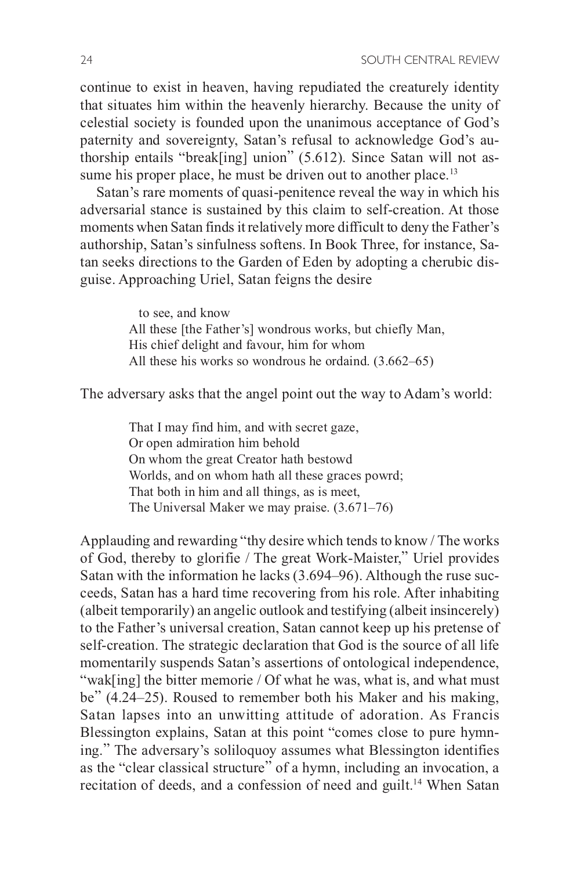continue to exist in heaven, having repudiated the creaturely identity that situates him within the heavenly hierarchy. Because the unity of celestial society is founded upon the unanimous acceptance of God's paternity and sovereignty, Satan's refusal to acknowledge God's authorship entails "break[ing] union" (5.612). Since Satan will not assume his proper place, he must be driven out to another place.<sup>13</sup>

Satan's rare moments of quasi-penitence reveal the way in which his adversarial stance is sustained by this claim to self-creation. At those moments when Satan finds it relatively more difficult to deny the Father's authorship, Satan's sinfulness softens. In Book Three, for instance, Satan seeks directions to the Garden of Eden by adopting a cherubic disguise. Approaching Uriel, Satan feigns the desire

> to see, and know All these [the Father's] wondrous works, but chiefly Man, His chief delight and favour, him for whom All these his works so wondrous he ordaind. (3.662–65)

The adversary asks that the angel point out the way to Adam's world:

That I may find him, and with secret gaze, Or open admiration him behold On whom the great Creator hath bestowd Worlds, and on whom hath all these graces powrd; That both in him and all things, as is meet, The Universal Maker we may praise. (3.671–76)

Applauding and rewarding "thy desire which tends to know / The works of God, thereby to glorifie / The great Work-Maister," Uriel provides Satan with the information he lacks (3.694–96). Although the ruse succeeds, Satan has a hard time recovering from his role. After inhabiting (albeit temporarily) an angelic outlook and testifying (albeit insincerely) to the Father's universal creation, Satan cannot keep up his pretense of self-creation. The strategic declaration that God is the source of all life momentarily suspends Satan's assertions of ontological independence, "wak[ing] the bitter memorie / Of what he was, what is, and what must be" (4.24–25). Roused to remember both his Maker and his making, Satan lapses into an unwitting attitude of adoration. As Francis Blessington explains, Satan at this point "comes close to pure hymning." The adversary's soliloquoy assumes what Blessington identifies as the "clear classical structure" of a hymn, including an invocation, a recitation of deeds, and a confession of need and guilt.<sup>14</sup> When Satan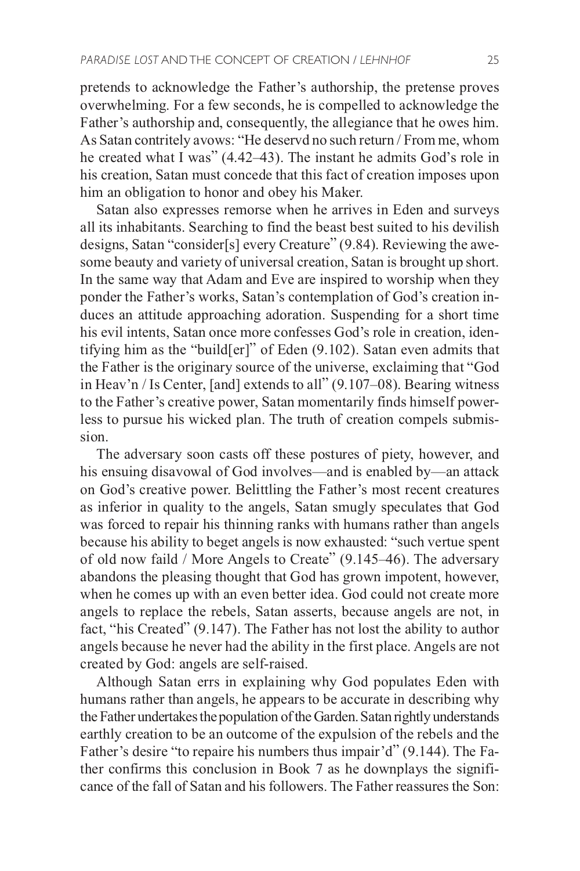pretends to acknowledge the Father's authorship, the pretense proves overwhelming. For a few seconds, he is compelled to acknowledge the Father's authorship and, consequently, the allegiance that he owes him. As Satan contritely avows: "He deservd no such return / From me, whom he created what I was" (4.42–43). The instant he admits God's role in his creation, Satan must concede that this fact of creation imposes upon him an obligation to honor and obey his Maker.

Satan also expresses remorse when he arrives in Eden and surveys all its inhabitants. Searching to find the beast best suited to his devilish designs, Satan "consider[s] every Creature" (9.84). Reviewing the awesome beauty and variety of universal creation, Satan is brought up short. In the same way that Adam and Eve are inspired to worship when they ponder the Father's works, Satan's contemplation of God's creation induces an attitude approaching adoration. Suspending for a short time his evil intents, Satan once more confesses God's role in creation, identifying him as the "build[er]" of Eden (9.102). Satan even admits that the Father is the originary source of the universe, exclaiming that "God in Heav'n / Is Center, [and] extends to all" (9.107–08). Bearing witness to the Father's creative power, Satan momentarily finds himself powerless to pursue his wicked plan. The truth of creation compels submission.

The adversary soon casts off these postures of piety, however, and his ensuing disavowal of God involves—and is enabled by—an attack on God's creative power. Belittling the Father's most recent creatures as inferior in quality to the angels, Satan smugly speculates that God was forced to repair his thinning ranks with humans rather than angels because his ability to beget angels is now exhausted: "such vertue spent of old now faild / More Angels to Create" (9.145–46). The adversary abandons the pleasing thought that God has grown impotent, however, when he comes up with an even better idea. God could not create more angels to replace the rebels, Satan asserts, because angels are not, in fact, "his Created" (9.147). The Father has not lost the ability to author angels because he never had the ability in the first place. Angels are not created by God: angels are self-raised.

Although Satan errs in explaining why God populates Eden with humans rather than angels, he appears to be accurate in describing why the Father undertakes the population of the Garden. Satan rightly understands earthly creation to be an outcome of the expulsion of the rebels and the Father's desire "to repaire his numbers thus impair'd" (9.144). The Father confirms this conclusion in Book 7 as he downplays the significance of the fall of Satan and his followers. The Father reassures the Son: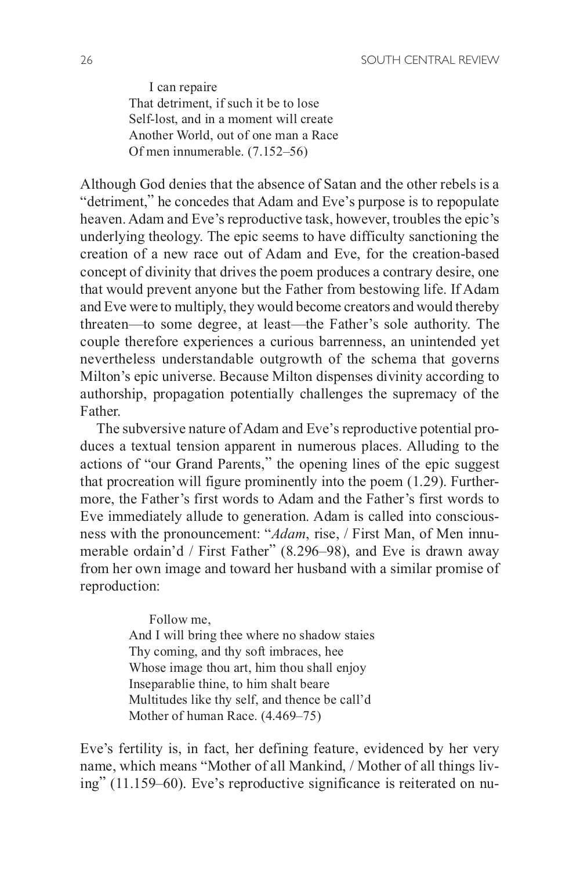I can repaire That detriment, if such it be to lose Self-lost, and in a moment will create Another World, out of one man a Race Of men innumerable. (7.152–56)

Although God denies that the absence of Satan and the other rebels is a "detriment," he concedes that Adam and Eve's purpose is to repopulate heaven. Adam and Eve's reproductive task, however, troubles the epic's underlying theology. The epic seems to have difficulty sanctioning the creation of a new race out of Adam and Eve, for the creation-based concept of divinity that drives the poem produces a contrary desire, one that would prevent anyone but the Father from bestowing life. If Adam and Eve were to multiply, they would become creators and would thereby threaten—to some degree, at least—the Father's sole authority. The couple therefore experiences a curious barrenness, an unintended yet nevertheless understandable outgrowth of the schema that governs Milton's epic universe. Because Milton dispenses divinity according to authorship, propagation potentially challenges the supremacy of the Father.

The subversive nature of Adam and Eve's reproductive potential produces a textual tension apparent in numerous places. Alluding to the actions of "our Grand Parents," the opening lines of the epic suggest that procreation will figure prominently into the poem (1.29). Furthermore, the Father's first words to Adam and the Father's first words to Eve immediately allude to generation. Adam is called into consciousness with the pronouncement: "*Adam*, rise, / First Man, of Men innumerable ordain'd / First Father" (8.296–98), and Eve is drawn away from her own image and toward her husband with a similar promise of reproduction:

> Follow me, And I will bring thee where no shadow staies Thy coming, and thy soft imbraces, hee Whose image thou art, him thou shall enjoy Inseparablie thine, to him shalt beare Multitudes like thy self, and thence be call'd Mother of human Race. (4.469–75)

Eve's fertility is, in fact, her defining feature, evidenced by her very name, which means "Mother of all Mankind, / Mother of all things living" (11.159–60). Eve's reproductive significance is reiterated on nu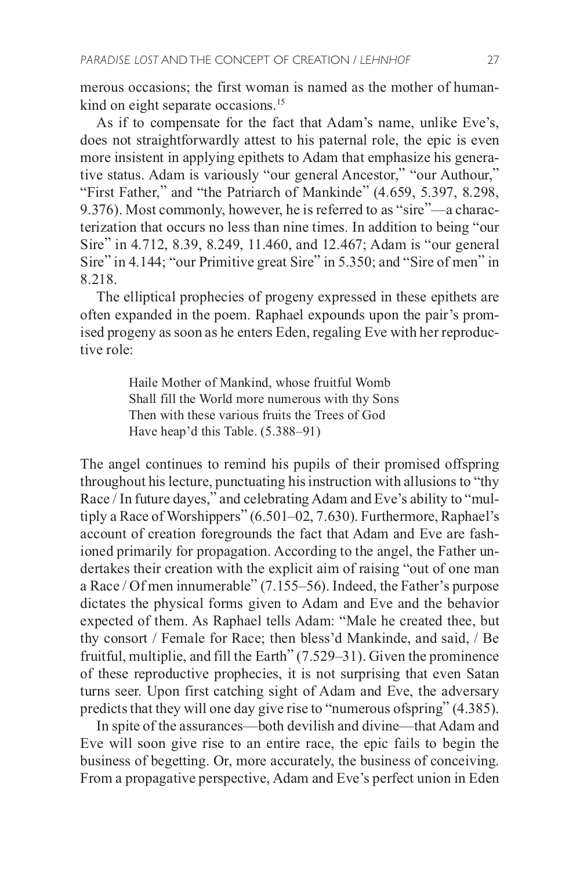merous occasions; the first woman is named as the mother of humankind on eight separate occasions.<sup>15</sup>

As if to compensate for the fact that Adam's name, unlike Eve's, does not straightforwardly attest to his paternal role, the epic is even more insistent in applying epithets to Adam that emphasize his generative status. Adam is variously "our general Ancestor," "our Authour," "First Father," and "the Patriarch of Mankinde" (4.659, 5.397, 8.298, 9.376). Most commonly, however, he is referred to as "sire"—a characterization that occurs no less than nine times. In addition to being "our Sire" in 4.712, 8.39, 8.249, 11.460, and 12.467; Adam is "our general Sire" in 4.144; "our Primitive great Sire" in 5.350; and "Sire of men" in 8.218.

The elliptical prophecies of progeny expressed in these epithets are often expanded in the poem. Raphael expounds upon the pair's promised progeny as soon as he enters Eden, regaling Eve with her reproductive role:

> Haile Mother of Mankind, whose fruitful Womb Shall fill the World more numerous with thy Sons Then with these various fruits the Trees of God Have heap'd this Table. (5.388–91)

The angel continues to remind his pupils of their promised offspring throughout his lecture, punctuating his instruction with allusions to "thy Race / In future dayes," and celebrating Adam and Eve's ability to "multiply a Race of Worshippers" (6.501–02, 7.630). Furthermore, Raphael's account of creation foregrounds the fact that Adam and Eve are fashioned primarily for propagation. According to the angel, the Father undertakes their creation with the explicit aim of raising "out of one man a Race / Of men innumerable" (7.155–56). Indeed, the Father's purpose dictates the physical forms given to Adam and Eve and the behavior expected of them. As Raphael tells Adam: "Male he created thee, but thy consort / Female for Race; then bless'd Mankinde, and said, / Be fruitful, multiplie, and fill the Earth" (7.529–31). Given the prominence of these reproductive prophecies, it is not surprising that even Satan turns seer. Upon first catching sight of Adam and Eve, the adversary predicts that they will one day give rise to "numerous ofspring" (4.385).

In spite of the assurances—both devilish and divine—that Adam and Eve will soon give rise to an entire race, the epic fails to begin the business of begetting. Or, more accurately, the business of conceiving. From a propagative perspective, Adam and Eve's perfect union in Eden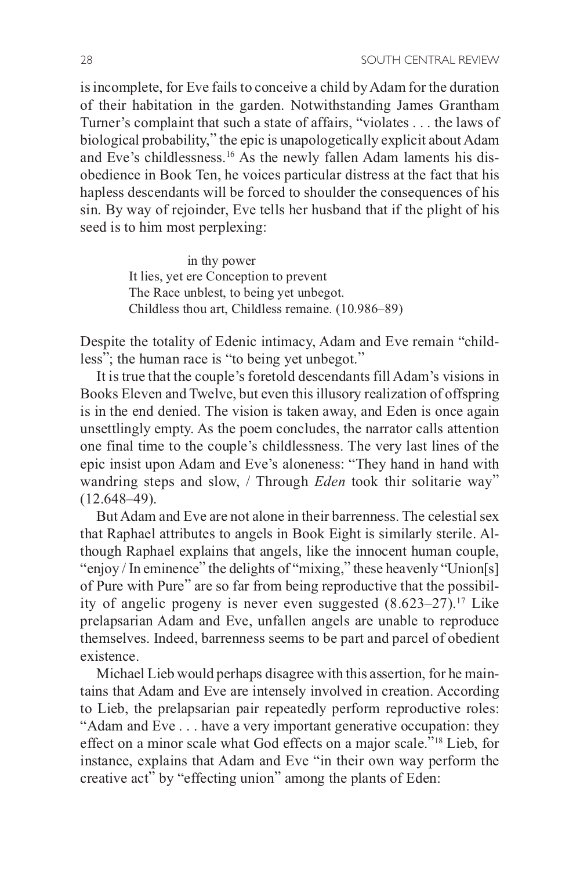is incomplete, for Eve fails to conceive a child by Adam for the duration of their habitation in the garden. Notwithstanding James Grantham Turner's complaint that such a state of affairs, "violates . . . the laws of biological probability," the epic is unapologetically explicit about Adam and Eve's childlessness.16 As the newly fallen Adam laments his disobedience in Book Ten, he voices particular distress at the fact that his hapless descendants will be forced to shoulder the consequences of his sin. By way of rejoinder, Eve tells her husband that if the plight of his seed is to him most perplexing:

> in thy power It lies, yet ere Conception to prevent The Race unblest, to being yet unbegot. Childless thou art, Childless remaine. (10.986–89)

Despite the totality of Edenic intimacy, Adam and Eve remain "childless"; the human race is "to being yet unbegot."

It is true that the couple's foretold descendants fill Adam's visions in Books Eleven and Twelve, but even this illusory realization of offspring is in the end denied. The vision is taken away, and Eden is once again unsettlingly empty. As the poem concludes, the narrator calls attention one final time to the couple's childlessness. The very last lines of the epic insist upon Adam and Eve's aloneness: "They hand in hand with wandring steps and slow, / Through *Eden* took thir solitarie way"  $(12.648-49)$ .

But Adam and Eve are not alone in their barrenness. The celestial sex that Raphael attributes to angels in Book Eight is similarly sterile. Although Raphael explains that angels, like the innocent human couple, "enjoy / In eminence" the delights of "mixing," these heavenly "Union[s] of Pure with Pure" are so far from being reproductive that the possibility of angelic progeny is never even suggested  $(8.623-27).$ <sup>17</sup> Like prelapsarian Adam and Eve, unfallen angels are unable to reproduce themselves. Indeed, barrenness seems to be part and parcel of obedient existence.

Michael Lieb would perhaps disagree with this assertion, for he maintains that Adam and Eve are intensely involved in creation. According to Lieb, the prelapsarian pair repeatedly perform reproductive roles: "Adam and Eve . . . have a very important generative occupation: they effect on a minor scale what God effects on a major scale."18 Lieb, for instance, explains that Adam and Eve "in their own way perform the creative act" by "effecting union" among the plants of Eden: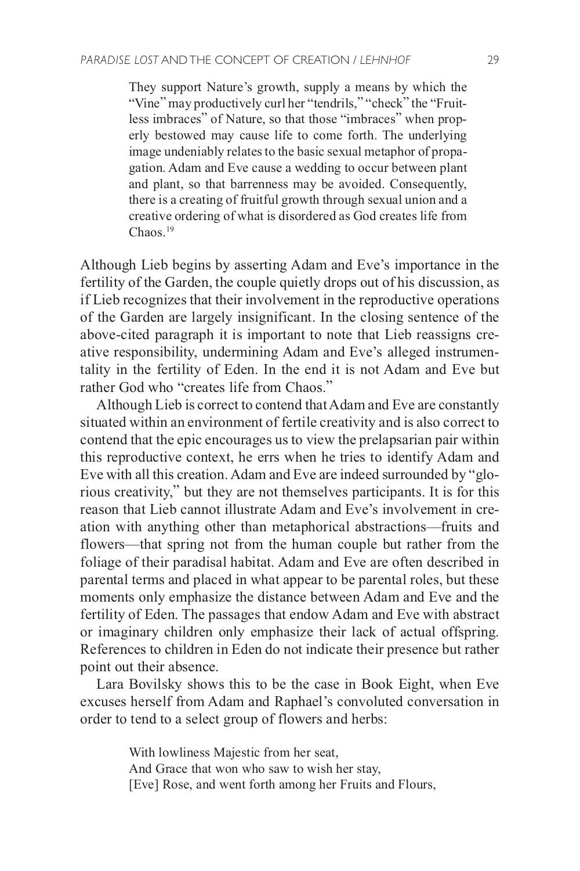They support Nature's growth, supply a means by which the "Vine" may productively curl her "tendrils," "check" the "Fruitless imbraces" of Nature, so that those "imbraces" when properly bestowed may cause life to come forth. The underlying image undeniably relates to the basic sexual metaphor of propagation. Adam and Eve cause a wedding to occur between plant and plant, so that barrenness may be avoided. Consequently, there is a creating of fruitful growth through sexual union and a creative ordering of what is disordered as God creates life from Chaos.<sup>19</sup>

Although Lieb begins by asserting Adam and Eve's importance in the fertility of the Garden, the couple quietly drops out of his discussion, as if Lieb recognizes that their involvement in the reproductive operations of the Garden are largely insignificant. In the closing sentence of the above-cited paragraph it is important to note that Lieb reassigns creative responsibility, undermining Adam and Eve's alleged instrumentality in the fertility of Eden. In the end it is not Adam and Eve but rather God who "creates life from Chaos."

Although Lieb is correct to contend that Adam and Eve are constantly situated within an environment of fertile creativity and is also correct to contend that the epic encourages us to view the prelapsarian pair within this reproductive context, he errs when he tries to identify Adam and Eve with all this creation. Adam and Eve are indeed surrounded by "glorious creativity," but they are not themselves participants. It is for this reason that Lieb cannot illustrate Adam and Eve's involvement in creation with anything other than metaphorical abstractions—fruits and flowers—that spring not from the human couple but rather from the foliage of their paradisal habitat. Adam and Eve are often described in parental terms and placed in what appear to be parental roles, but these moments only emphasize the distance between Adam and Eve and the fertility of Eden. The passages that endow Adam and Eve with abstract or imaginary children only emphasize their lack of actual offspring. References to children in Eden do not indicate their presence but rather point out their absence.

Lara Bovilsky shows this to be the case in Book Eight, when Eve excuses herself from Adam and Raphael's convoluted conversation in order to tend to a select group of flowers and herbs:

> With lowliness Majestic from her seat, And Grace that won who saw to wish her stay, [Eve] Rose, and went forth among her Fruits and Flours,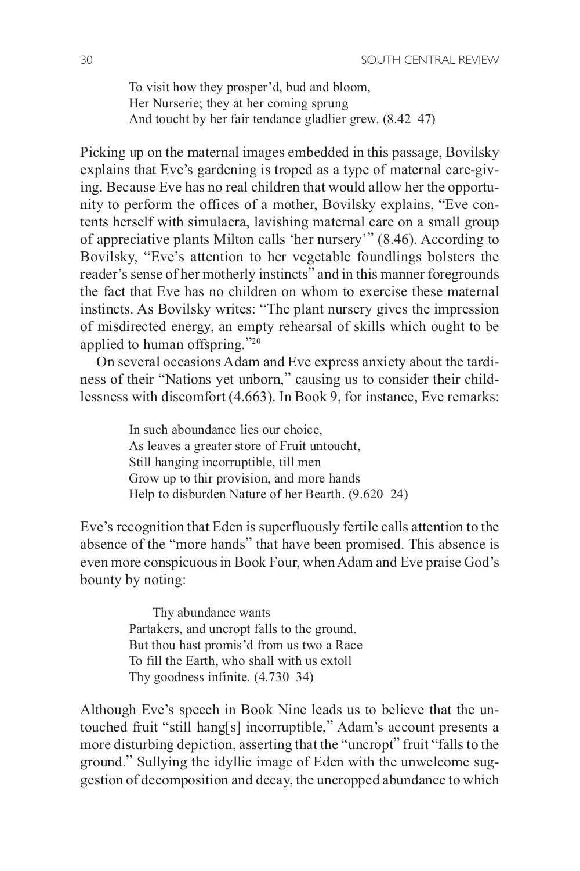To visit how they prosper'd, bud and bloom, Her Nurserie; they at her coming sprung And toucht by her fair tendance gladlier grew. (8.42–47)

Picking up on the maternal images embedded in this passage, Bovilsky explains that Eve's gardening is troped as a type of maternal care-giving. Because Eve has no real children that would allow her the opportunity to perform the offices of a mother, Bovilsky explains, "Eve contents herself with simulacra, lavishing maternal care on a small group of appreciative plants Milton calls 'her nursery'" (8.46). According to Bovilsky, "Eve's attention to her vegetable foundlings bolsters the reader's sense of her motherly instincts" and in this manner foregrounds the fact that Eve has no children on whom to exercise these maternal instincts. As Bovilsky writes: "The plant nursery gives the impression of misdirected energy, an empty rehearsal of skills which ought to be applied to human offspring."20

On several occasions Adam and Eve express anxiety about the tardiness of their "Nations yet unborn," causing us to consider their childlessness with discomfort (4.663). In Book 9, for instance, Eve remarks:

> In such aboundance lies our choice, As leaves a greater store of Fruit untoucht, Still hanging incorruptible, till men Grow up to thir provision, and more hands Help to disburden Nature of her Bearth. (9.620–24)

Eve's recognition that Eden is superfluously fertile calls attention to the absence of the "more hands" that have been promised. This absence is even more conspicuous in Book Four, when Adam and Eve praise God's bounty by noting:

> Thy abundance wants Partakers, and uncropt falls to the ground. But thou hast promis'd from us two a Race To fill the Earth, who shall with us extoll Thy goodness infinite. (4.730–34)

Although Eve's speech in Book Nine leads us to believe that the untouched fruit "still hang[s] incorruptible," Adam's account presents a more disturbing depiction, asserting that the "uncropt" fruit "falls to the ground." Sullying the idyllic image of Eden with the unwelcome suggestion of decomposition and decay, the uncropped abundance to which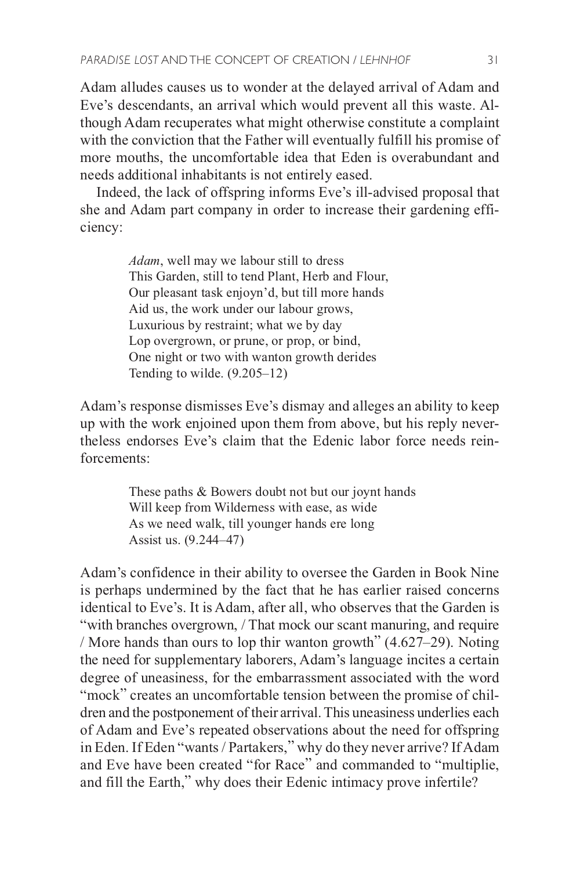Adam alludes causes us to wonder at the delayed arrival of Adam and Eve's descendants, an arrival which would prevent all this waste. Although Adam recuperates what might otherwise constitute a complaint with the conviction that the Father will eventually fulfill his promise of more mouths, the uncomfortable idea that Eden is overabundant and needs additional inhabitants is not entirely eased.

Indeed, the lack of offspring informs Eve's ill-advised proposal that she and Adam part company in order to increase their gardening efficiency:

> *Adam*, well may we labour still to dress This Garden, still to tend Plant, Herb and Flour, Our pleasant task enjoyn'd, but till more hands Aid us, the work under our labour grows, Luxurious by restraint; what we by day Lop overgrown, or prune, or prop, or bind, One night or two with wanton growth derides Tending to wilde. (9.205–12)

Adam's response dismisses Eve's dismay and alleges an ability to keep up with the work enjoined upon them from above, but his reply nevertheless endorses Eve's claim that the Edenic labor force needs reinforcements:

> These paths & Bowers doubt not but our joynt hands Will keep from Wilderness with ease, as wide As we need walk, till younger hands ere long Assist us. (9.244–47)

Adam's confidence in their ability to oversee the Garden in Book Nine is perhaps undermined by the fact that he has earlier raised concerns identical to Eve's. It is Adam, after all, who observes that the Garden is "with branches overgrown, / That mock our scant manuring, and require / More hands than ours to lop thir wanton growth" (4.627–29). Noting the need for supplementary laborers, Adam's language incites a certain degree of uneasiness, for the embarrassment associated with the word "mock" creates an uncomfortable tension between the promise of children and the postponement of their arrival. This uneasiness underlies each of Adam and Eve's repeated observations about the need for offspring in Eden. If Eden "wants / Partakers," why do they never arrive? If Adam and Eve have been created "for Race" and commanded to "multiplie, and fill the Earth," why does their Edenic intimacy prove infertile?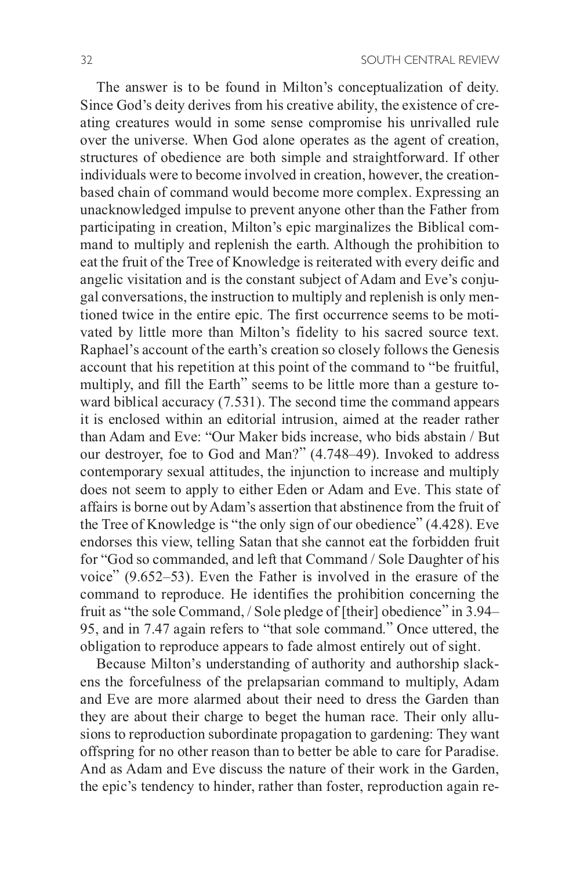The answer is to be found in Milton's conceptualization of deity. Since God's deity derives from his creative ability, the existence of creating creatures would in some sense compromise his unrivalled rule over the universe. When God alone operates as the agent of creation, structures of obedience are both simple and straightforward. If other individuals were to become involved in creation, however, the creationbased chain of command would become more complex. Expressing an unacknowledged impulse to prevent anyone other than the Father from participating in creation, Milton's epic marginalizes the Biblical command to multiply and replenish the earth. Although the prohibition to eat the fruit of the Tree of Knowledge is reiterated with every deific and angelic visitation and is the constant subject of Adam and Eve's conjugal conversations, the instruction to multiply and replenish is only mentioned twice in the entire epic. The first occurrence seems to be motivated by little more than Milton's fidelity to his sacred source text. Raphael's account of the earth's creation so closely follows the Genesis account that his repetition at this point of the command to "be fruitful, multiply, and fill the Earth" seems to be little more than a gesture toward biblical accuracy (7.531). The second time the command appears it is enclosed within an editorial intrusion, aimed at the reader rather than Adam and Eve: "Our Maker bids increase, who bids abstain / But our destroyer, foe to God and Man?" (4.748–49). Invoked to address contemporary sexual attitudes, the injunction to increase and multiply does not seem to apply to either Eden or Adam and Eve. This state of affairs is borne out by Adam's assertion that abstinence from the fruit of the Tree of Knowledge is "the only sign of our obedience" (4.428). Eve endorses this view, telling Satan that she cannot eat the forbidden fruit for "God so commanded, and left that Command / Sole Daughter of his voice" (9.652–53). Even the Father is involved in the erasure of the command to reproduce. He identifies the prohibition concerning the fruit as "the sole Command, / Sole pledge of [their] obedience" in 3.94– 95, and in 7.47 again refers to "that sole command." Once uttered, the obligation to reproduce appears to fade almost entirely out of sight.

Because Milton's understanding of authority and authorship slackens the forcefulness of the prelapsarian command to multiply, Adam and Eve are more alarmed about their need to dress the Garden than they are about their charge to beget the human race. Their only allusions to reproduction subordinate propagation to gardening: They want offspring for no other reason than to better be able to care for Paradise. And as Adam and Eve discuss the nature of their work in the Garden, the epic's tendency to hinder, rather than foster, reproduction again re-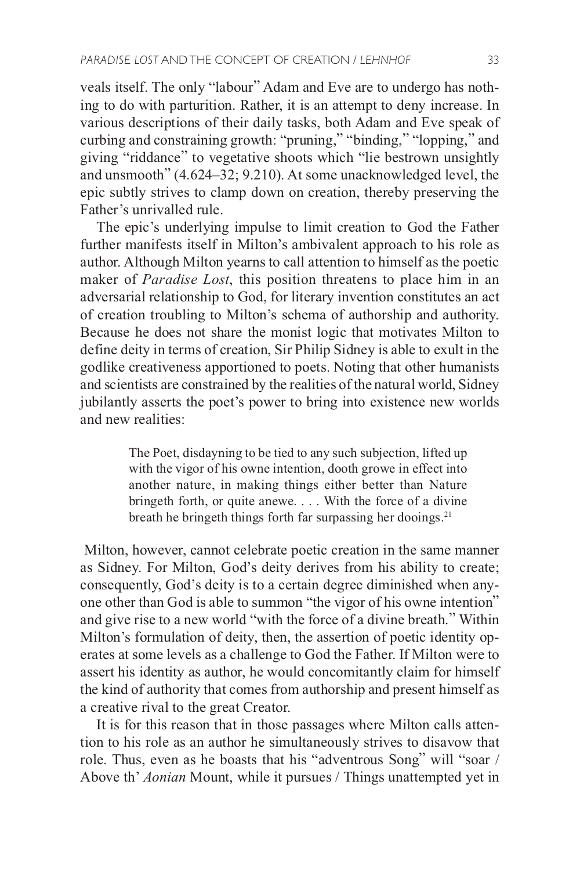veals itself. The only "labour" Adam and Eve are to undergo has nothing to do with parturition. Rather, it is an attempt to deny increase. In various descriptions of their daily tasks, both Adam and Eve speak of curbing and constraining growth: "pruning," "binding," "lopping," and giving "riddance" to vegetative shoots which "lie bestrown unsightly and unsmooth" (4.624–32; 9.210). At some unacknowledged level, the epic subtly strives to clamp down on creation, thereby preserving the Father's unrivalled rule.

The epic's underlying impulse to limit creation to God the Father further manifests itself in Milton's ambivalent approach to his role as author. Although Milton yearns to call attention to himself as the poetic maker of *Paradise Lost*, this position threatens to place him in an adversarial relationship to God, for literary invention constitutes an act of creation troubling to Milton's schema of authorship and authority. Because he does not share the monist logic that motivates Milton to define deity in terms of creation, Sir Philip Sidney is able to exult in the godlike creativeness apportioned to poets. Noting that other humanists and scientists are constrained by the realities of the natural world, Sidney jubilantly asserts the poet's power to bring into existence new worlds and new realities:

> The Poet, disdayning to be tied to any such subjection, lifted up with the vigor of his owne intention, dooth growe in effect into another nature, in making things either better than Nature bringeth forth, or quite anewe. . . . With the force of a divine breath he bringeth things forth far surpassing her dooings.<sup>21</sup>

 Milton, however, cannot celebrate poetic creation in the same manner as Sidney. For Milton, God's deity derives from his ability to create; consequently, God's deity is to a certain degree diminished when anyone other than God is able to summon "the vigor of his owne intention" and give rise to a new world "with the force of a divine breath." Within Milton's formulation of deity, then, the assertion of poetic identity operates at some levels as a challenge to God the Father. If Milton were to assert his identity as author, he would concomitantly claim for himself the kind of authority that comes from authorship and present himself as a creative rival to the great Creator.

It is for this reason that in those passages where Milton calls attention to his role as an author he simultaneously strives to disavow that role. Thus, even as he boasts that his "adventrous Song" will "soar / Above th' *Aonian* Mount, while it pursues / Things unattempted yet in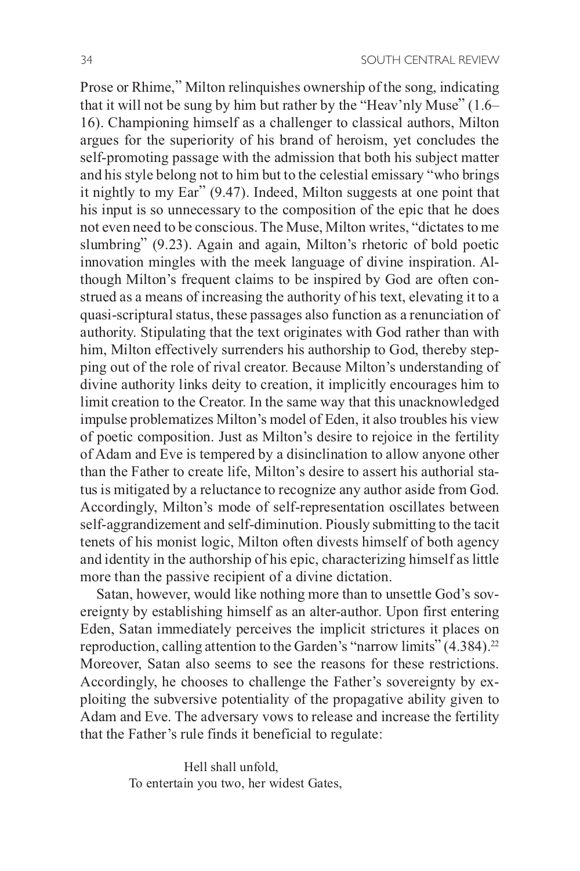Prose or Rhime," Milton relinquishes ownership of the song, indicating that it will not be sung by him but rather by the "Heav'nly Muse" (1.6– 16). Championing himself as a challenger to classical authors, Milton argues for the superiority of his brand of heroism, yet concludes the self-promoting passage with the admission that both his subject matter and his style belong not to him but to the celestial emissary "who brings it nightly to my Ear" (9.47). Indeed, Milton suggests at one point that his input is so unnecessary to the composition of the epic that he does not even need to be conscious. The Muse, Milton writes, "dictates to me slumbring" (9.23). Again and again, Milton's rhetoric of bold poetic innovation mingles with the meek language of divine inspiration. Although Milton's frequent claims to be inspired by God are often construed as a means of increasing the authority of his text, elevating it to a quasi-scriptural status, these passages also function as a renunciation of authority. Stipulating that the text originates with God rather than with him, Milton effectively surrenders his authorship to God, thereby stepping out of the role of rival creator. Because Milton's understanding of divine authority links deity to creation, it implicitly encourages him to limit creation to the Creator. In the same way that this unacknowledged impulse problematizes Milton's model of Eden, it also troubles his view of poetic composition. Just as Milton's desire to rejoice in the fertility of Adam and Eve is tempered by a disinclination to allow anyone other than the Father to create life, Milton's desire to assert his authorial status is mitigated by a reluctance to recognize any author aside from God. Accordingly, Milton's mode of self-representation oscillates between self-aggrandizement and self-diminution. Piously submitting to the tacit tenets of his monist logic, Milton often divests himself of both agency and identity in the authorship of his epic, characterizing himself as little more than the passive recipient of a divine dictation.

Satan, however, would like nothing more than to unsettle God's sovereignty by establishing himself as an alter-author. Upon first entering Eden, Satan immediately perceives the implicit strictures it places on reproduction, calling attention to the Garden's "narrow limits"  $(4.384)$ <sup>22</sup> Moreover, Satan also seems to see the reasons for these restrictions. Accordingly, he chooses to challenge the Father's sovereignty by exploiting the subversive potentiality of the propagative ability given to Adam and Eve. The adversary vows to release and increase the fertility that the Father's rule finds it beneficial to regulate:

> Hell shall unfold, To entertain you two, her widest Gates,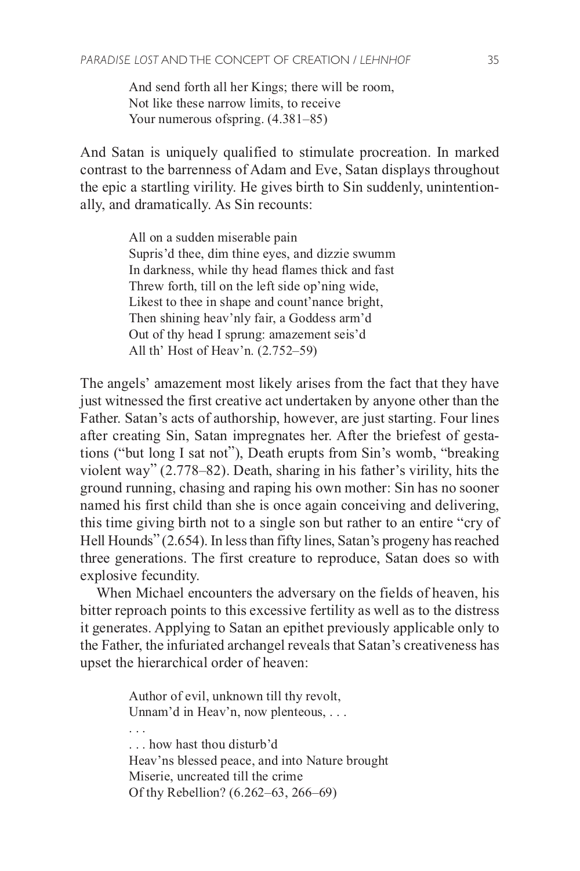And send forth all her Kings; there will be room, Not like these narrow limits, to receive Your numerous ofspring. (4.381–85)

And Satan is uniquely qualified to stimulate procreation. In marked contrast to the barrenness of Adam and Eve, Satan displays throughout the epic a startling virility. He gives birth to Sin suddenly, unintentionally, and dramatically. As Sin recounts:

> All on a sudden miserable pain Supris'd thee, dim thine eyes, and dizzie swumm In darkness, while thy head flames thick and fast Threw forth, till on the left side op'ning wide, Likest to thee in shape and count'nance bright, Then shining heav'nly fair, a Goddess arm'd Out of thy head I sprung: amazement seis'd All th' Host of Heav'n. (2.752–59)

The angels' amazement most likely arises from the fact that they have just witnessed the first creative act undertaken by anyone other than the Father. Satan's acts of authorship, however, are just starting. Four lines after creating Sin, Satan impregnates her. After the briefest of gestations ("but long I sat not"), Death erupts from Sin's womb, "breaking violent way" (2.778–82). Death, sharing in his father's virility, hits the ground running, chasing and raping his own mother: Sin has no sooner named his first child than she is once again conceiving and delivering, this time giving birth not to a single son but rather to an entire "cry of Hell Hounds" (2.654). In less than fifty lines, Satan's progeny has reached three generations. The first creature to reproduce, Satan does so with explosive fecundity.

When Michael encounters the adversary on the fields of heaven, his bitter reproach points to this excessive fertility as well as to the distress it generates. Applying to Satan an epithet previously applicable only to the Father, the infuriated archangel reveals that Satan's creativeness has upset the hierarchical order of heaven:

> Author of evil, unknown till thy revolt, Unnam'd in Heav'n, now plenteous, . . . . . . . . . how hast thou disturb'd Heav'ns blessed peace, and into Nature brought

Miserie, uncreated till the crime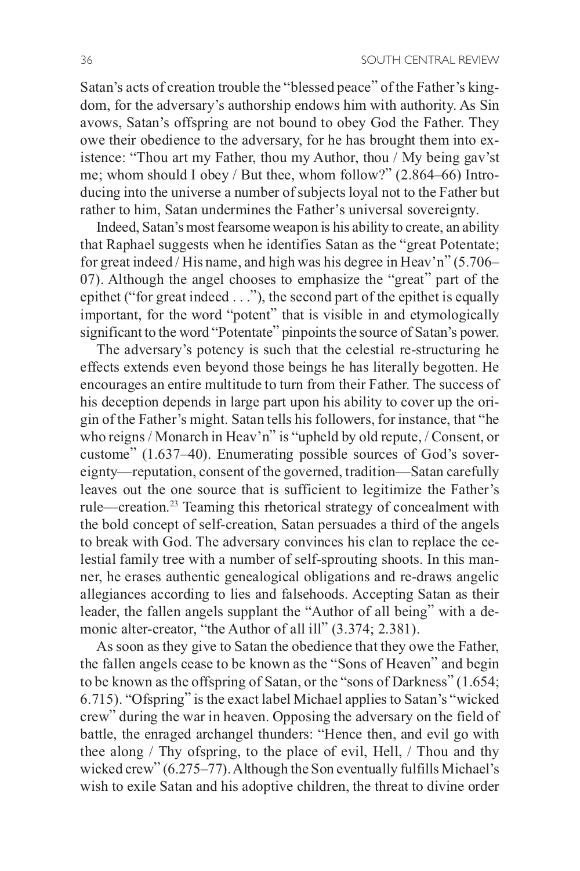Satan's acts of creation trouble the "blessed peace" of the Father's kingdom, for the adversary's authorship endows him with authority. As Sin avows, Satan's offspring are not bound to obey God the Father. They owe their obedience to the adversary, for he has brought them into existence: "Thou art my Father, thou my Author, thou / My being gav'st me; whom should I obey / But thee, whom follow?" (2.864–66) Introducing into the universe a number of subjects loyal not to the Father but rather to him, Satan undermines the Father's universal sovereignty.

Indeed, Satan's most fearsome weapon is his ability to create, an ability that Raphael suggests when he identifies Satan as the "great Potentate; for great indeed / His name, and high was his degree in Heav'n" (5.706– 07). Although the angel chooses to emphasize the "great" part of the epithet ("for great indeed . . ."), the second part of the epithet is equally important, for the word "potent" that is visible in and etymologically significant to the word "Potentate" pinpoints the source of Satan's power.

The adversary's potency is such that the celestial re-structuring he effects extends even beyond those beings he has literally begotten. He encourages an entire multitude to turn from their Father. The success of his deception depends in large part upon his ability to cover up the origin of the Father's might. Satan tells his followers, for instance, that "he who reigns / Monarch in Heav'n" is "upheld by old repute, / Consent, or custome" (1.637–40). Enumerating possible sources of God's sovereignty—reputation, consent of the governed, tradition—Satan carefully leaves out the one source that is sufficient to legitimize the Father's rule—creation.23 Teaming this rhetorical strategy of concealment with the bold concept of self-creation, Satan persuades a third of the angels to break with God. The adversary convinces his clan to replace the celestial family tree with a number of self-sprouting shoots. In this manner, he erases authentic genealogical obligations and re-draws angelic allegiances according to lies and falsehoods. Accepting Satan as their leader, the fallen angels supplant the "Author of all being" with a demonic alter-creator, "the Author of all ill" (3.374; 2.381).

As soon as they give to Satan the obedience that they owe the Father, the fallen angels cease to be known as the "Sons of Heaven" and begin to be known as the offspring of Satan, or the "sons of Darkness" (1.654; 6.715). "Ofspring" is the exact label Michael applies to Satan's "wicked crew" during the war in heaven. Opposing the adversary on the field of battle, the enraged archangel thunders: "Hence then, and evil go with thee along / Thy ofspring, to the place of evil, Hell, / Thou and thy wicked crew" (6.275–77). Although the Son eventually fulfills Michael's wish to exile Satan and his adoptive children, the threat to divine order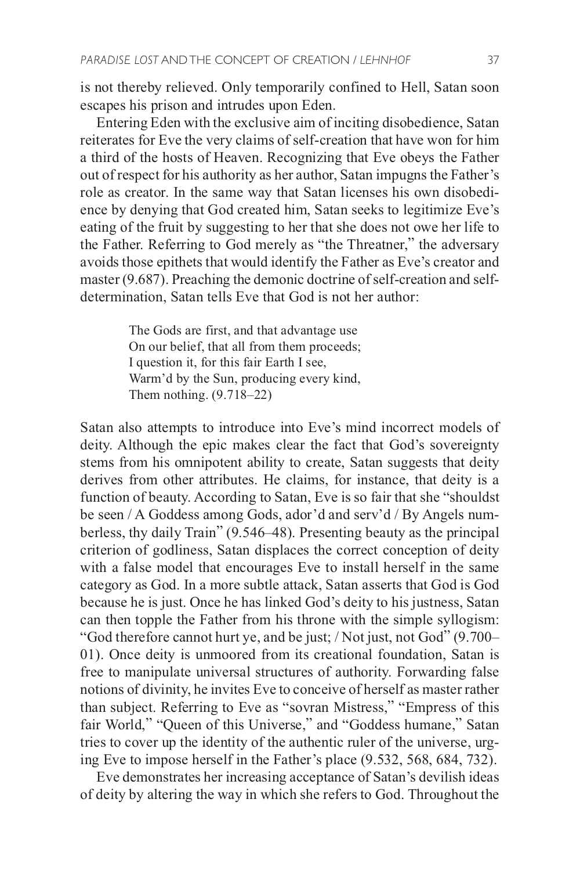is not thereby relieved. Only temporarily confined to Hell, Satan soon escapes his prison and intrudes upon Eden.

Entering Eden with the exclusive aim of inciting disobedience, Satan reiterates for Eve the very claims of self-creation that have won for him a third of the hosts of Heaven. Recognizing that Eve obeys the Father out of respect for his authority as her author, Satan impugns the Father's role as creator. In the same way that Satan licenses his own disobedience by denying that God created him, Satan seeks to legitimize Eve's eating of the fruit by suggesting to her that she does not owe her life to the Father. Referring to God merely as "the Threatner," the adversary avoids those epithets that would identify the Father as Eve's creator and master (9.687). Preaching the demonic doctrine of self-creation and selfdetermination, Satan tells Eve that God is not her author:

> The Gods are first, and that advantage use On our belief, that all from them proceeds; I question it, for this fair Earth I see, Warm'd by the Sun, producing every kind, Them nothing. (9.718–22)

Satan also attempts to introduce into Eve's mind incorrect models of deity. Although the epic makes clear the fact that God's sovereignty stems from his omnipotent ability to create, Satan suggests that deity derives from other attributes. He claims, for instance, that deity is a function of beauty. According to Satan, Eve is so fair that she "shouldst be seen / A Goddess among Gods, ador'd and serv'd / By Angels numberless, thy daily Train" (9.546–48). Presenting beauty as the principal criterion of godliness, Satan displaces the correct conception of deity with a false model that encourages Eve to install herself in the same category as God. In a more subtle attack, Satan asserts that God is God because he is just. Once he has linked God's deity to his justness, Satan can then topple the Father from his throne with the simple syllogism: "God therefore cannot hurt ye, and be just; / Not just, not God" (9.700– 01). Once deity is unmoored from its creational foundation, Satan is free to manipulate universal structures of authority. Forwarding false notions of divinity, he invites Eve to conceive of herself as master rather than subject. Referring to Eve as "sovran Mistress," "Empress of this fair World," "Queen of this Universe," and "Goddess humane," Satan tries to cover up the identity of the authentic ruler of the universe, urging Eve to impose herself in the Father's place (9.532, 568, 684, 732).

Eve demonstrates her increasing acceptance of Satan's devilish ideas of deity by altering the way in which she refers to God. Throughout the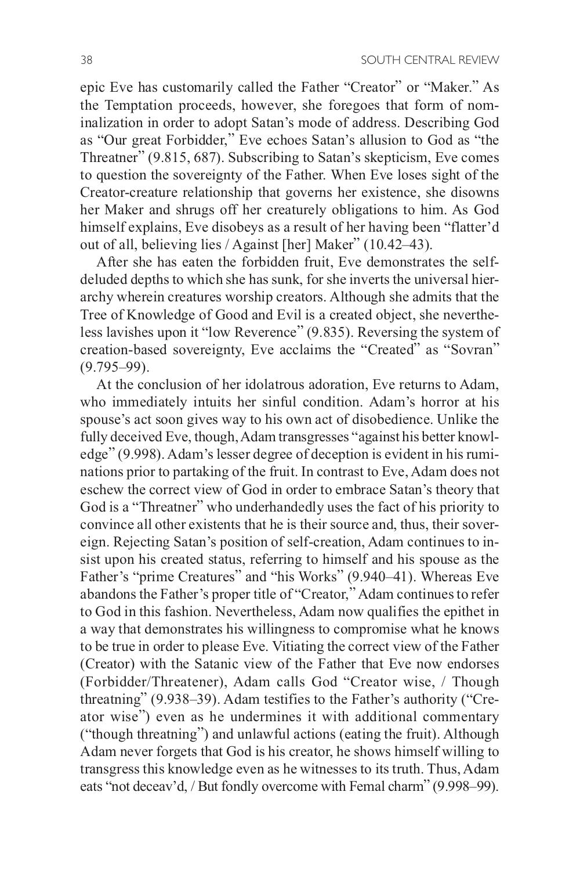epic Eve has customarily called the Father "Creator" or "Maker." As the Temptation proceeds, however, she foregoes that form of nominalization in order to adopt Satan's mode of address. Describing God as "Our great Forbidder," Eve echoes Satan's allusion to God as "the Threatner" (9.815, 687). Subscribing to Satan's skepticism, Eve comes to question the sovereignty of the Father. When Eve loses sight of the Creator-creature relationship that governs her existence, she disowns her Maker and shrugs off her creaturely obligations to him. As God himself explains, Eve disobeys as a result of her having been "flatter'd out of all, believing lies / Against [her] Maker" (10.42–43).

After she has eaten the forbidden fruit, Eve demonstrates the selfdeluded depths to which she has sunk, for she inverts the universal hierarchy wherein creatures worship creators. Although she admits that the Tree of Knowledge of Good and Evil is a created object, she nevertheless lavishes upon it "low Reverence" (9.835). Reversing the system of creation-based sovereignty, Eve acclaims the "Created" as "Sovran" (9.795–99).

At the conclusion of her idolatrous adoration, Eve returns to Adam, who immediately intuits her sinful condition. Adam's horror at his spouse's act soon gives way to his own act of disobedience. Unlike the fully deceived Eve, though, Adam transgresses "against his better knowledge" (9.998). Adam's lesser degree of deception is evident in his ruminations prior to partaking of the fruit. In contrast to Eve, Adam does not eschew the correct view of God in order to embrace Satan's theory that God is a "Threatner" who underhandedly uses the fact of his priority to convince all other existents that he is their source and, thus, their sovereign. Rejecting Satan's position of self-creation, Adam continues to insist upon his created status, referring to himself and his spouse as the Father's "prime Creatures" and "his Works" (9.940–41). Whereas Eve abandons the Father's proper title of "Creator," Adam continues to refer to God in this fashion. Nevertheless, Adam now qualifies the epithet in a way that demonstrates his willingness to compromise what he knows to be true in order to please Eve. Vitiating the correct view of the Father (Creator) with the Satanic view of the Father that Eve now endorses (Forbidder/Threatener), Adam calls God "Creator wise, / Though threatning" (9.938–39). Adam testifies to the Father's authority ("Creator wise") even as he undermines it with additional commentary ("though threatning") and unlawful actions (eating the fruit). Although Adam never forgets that God is his creator, he shows himself willing to transgress this knowledge even as he witnesses to its truth. Thus, Adam eats "not deceav'd, / But fondly overcome with Femal charm" (9.998–99).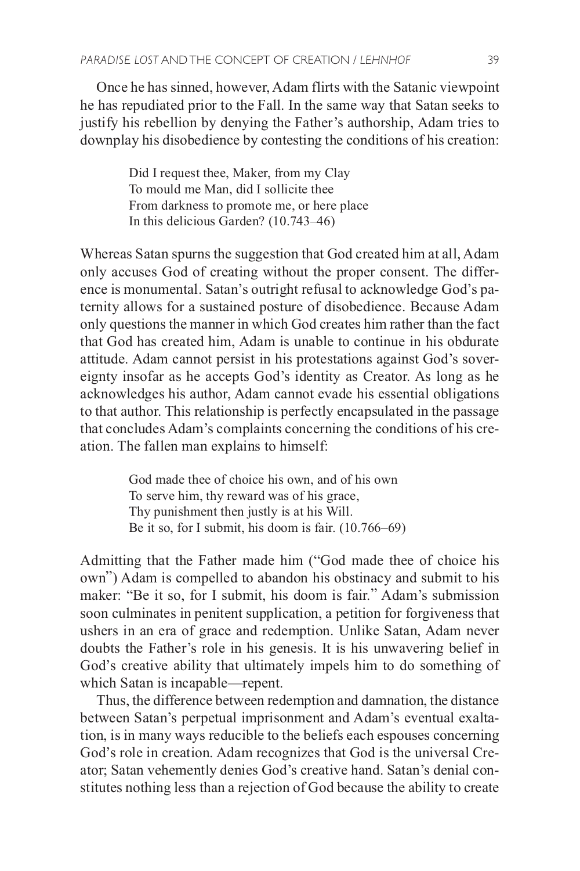Once he has sinned, however, Adam flirts with the Satanic viewpoint he has repudiated prior to the Fall. In the same way that Satan seeks to justify his rebellion by denying the Father's authorship, Adam tries to downplay his disobedience by contesting the conditions of his creation:

> Did I request thee, Maker, from my Clay To mould me Man, did I sollicite thee From darkness to promote me, or here place In this delicious Garden? (10.743–46)

Whereas Satan spurns the suggestion that God created him at all, Adam only accuses God of creating without the proper consent. The difference is monumental. Satan's outright refusal to acknowledge God's paternity allows for a sustained posture of disobedience. Because Adam only questions the manner in which God creates him rather than the fact that God has created him, Adam is unable to continue in his obdurate attitude. Adam cannot persist in his protestations against God's sovereignty insofar as he accepts God's identity as Creator. As long as he acknowledges his author, Adam cannot evade his essential obligations to that author. This relationship is perfectly encapsulated in the passage that concludes Adam's complaints concerning the conditions of his creation. The fallen man explains to himself:

> God made thee of choice his own, and of his own To serve him, thy reward was of his grace, Thy punishment then justly is at his Will. Be it so, for I submit, his doom is fair. (10.766–69)

Admitting that the Father made him ("God made thee of choice his own") Adam is compelled to abandon his obstinacy and submit to his maker: "Be it so, for I submit, his doom is fair." Adam's submission soon culminates in penitent supplication, a petition for forgiveness that ushers in an era of grace and redemption. Unlike Satan, Adam never doubts the Father's role in his genesis. It is his unwavering belief in God's creative ability that ultimately impels him to do something of which Satan is incapable—repent.

Thus, the difference between redemption and damnation, the distance between Satan's perpetual imprisonment and Adam's eventual exaltation, is in many ways reducible to the beliefs each espouses concerning God's role in creation. Adam recognizes that God is the universal Creator; Satan vehemently denies God's creative hand. Satan's denial constitutes nothing less than a rejection of God because the ability to create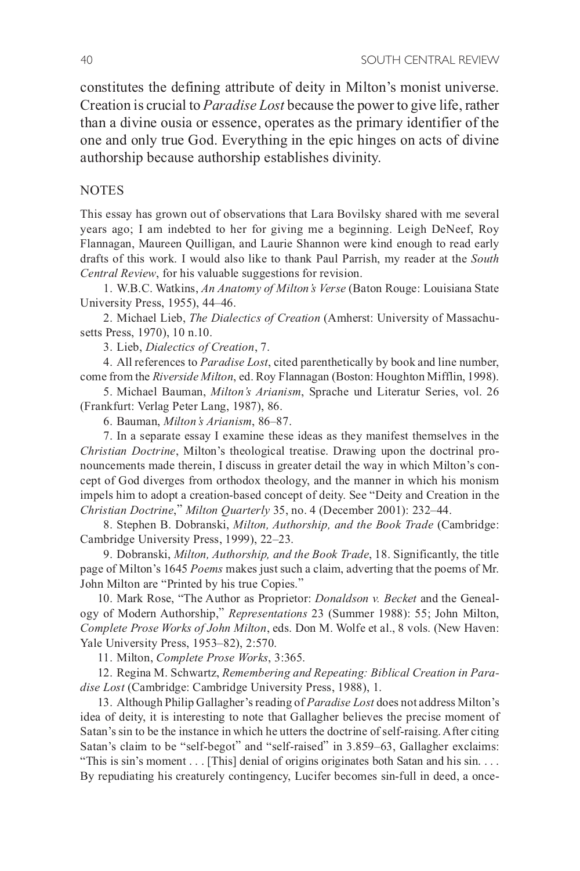constitutes the defining attribute of deity in Milton's monist universe. Creation is crucial to *Paradise Lost* because the power to give life, rather than a divine ousia or essence, operates as the primary identifier of the one and only true God. Everything in the epic hinges on acts of divine authorship because authorship establishes divinity.

#### **NOTES**

This essay has grown out of observations that Lara Bovilsky shared with me several years ago; I am indebted to her for giving me a beginning. Leigh DeNeef, Roy Flannagan, Maureen Quilligan, and Laurie Shannon were kind enough to read early drafts of this work. I would also like to thank Paul Parrish, my reader at the *South Central Review*, for his valuable suggestions for revision.

1. W.B.C. Watkins, *An Anatomy of Milton's Verse* (Baton Rouge: Louisiana State University Press, 1955), 44–46.

2. Michael Lieb, *The Dialectics of Creation* (Amherst: University of Massachusetts Press, 1970), 10 n.10.

3. Lieb, *Dialectics of Creation*, 7.

4. All references to *Paradise Lost*, cited parenthetically by book and line number, come from the *Riverside Milton*, ed. Roy Flannagan (Boston: Houghton Mifflin, 1998).

5. Michael Bauman, *Milton's Arianism*, Sprache und Literatur Series, vol. 26 (Frankfurt: Verlag Peter Lang, 1987), 86.

6. Bauman, *Milton's Arianism*, 86–87.

7. In a separate essay I examine these ideas as they manifest themselves in the *Christian Doctrine*, Milton's theological treatise. Drawing upon the doctrinal pronouncements made therein, I discuss in greater detail the way in which Milton's concept of God diverges from orthodox theology, and the manner in which his monism impels him to adopt a creation-based concept of deity. See "Deity and Creation in the *Christian Doctrine*," *Milton Quarterly* 35, no. 4 (December 2001): 232–44.

8. Stephen B. Dobranski, *Milton, Authorship, and the Book Trade* (Cambridge: Cambridge University Press, 1999), 22–23.

9. Dobranski, *Milton, Authorship, and the Book Trade*, 18. Significantly, the title page of Milton's 1645 *Poems* makes just such a claim, adverting that the poems of Mr. John Milton are "Printed by his true Copies."

10. Mark Rose, "The Author as Proprietor: *Donaldson v. Becket* and the Genealogy of Modern Authorship," *Representations* 23 (Summer 1988): 55; John Milton, *Complete Prose Works of John Milton*, eds. Don M. Wolfe et al., 8 vols. (New Haven: Yale University Press, 1953–82), 2:570.

11. Milton, *Complete Prose Works*, 3:365.

12. Regina M. Schwartz, *Remembering and Repeating: Biblical Creation in Paradise Lost* (Cambridge: Cambridge University Press, 1988), 1.

13. Although Philip Gallagher's reading of *Paradise Lost* does not address Milton's idea of deity, it is interesting to note that Gallagher believes the precise moment of Satan's sin to be the instance in which he utters the doctrine of self-raising. After citing Satan's claim to be "self-begot" and "self-raised" in 3.859–63, Gallagher exclaims: "This is sin's moment . . . [This] denial of origins originates both Satan and his sin. . . . By repudiating his creaturely contingency, Lucifer becomes sin-full in deed, a once